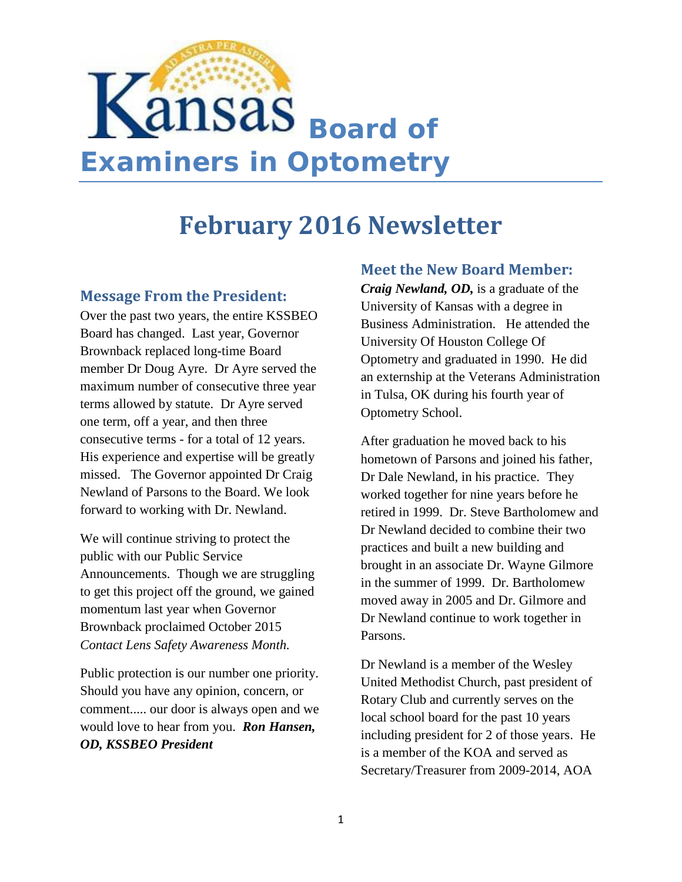

# **February 2016 Newsletter**

#### **Message From the President:**

Over the past two years, the entire KSSBEO Board has changed. Last year, Governor Brownback replaced long-time Board member Dr Doug Ayre. Dr Ayre served the maximum number of consecutive three year terms allowed by statute. Dr Ayre served one term, off a year, and then three consecutive terms - for a total of 12 years. His experience and expertise will be greatly missed. The Governor appointed Dr Craig Newland of Parsons to the Board. We look forward to working with Dr. Newland.

We will continue striving to protect the public with our Public Service Announcements. Though we are struggling to get this project off the ground, we gained momentum last year when Governor Brownback proclaimed October 2015 *Contact Lens Safety Awareness Month.*

Public protection is our number one priority. Should you have any opinion, concern, or comment..... our door is always open and we would love to hear from you. *Ron Hansen, OD, KSSBEO President*

#### **Meet the New Board Member:**

*Craig Newland, OD,* is a graduate of the University of Kansas with a degree in Business Administration. He attended the University Of Houston College Of Optometry and graduated in 1990. He did an externship at the Veterans Administration in Tulsa, OK during his fourth year of Optometry School.

After graduation he moved back to his hometown of Parsons and joined his father, Dr Dale Newland, in his practice. They worked together for nine years before he retired in 1999. Dr. Steve Bartholomew and Dr Newland decided to combine their two practices and built a new building and brought in an associate Dr. Wayne Gilmore in the summer of 1999. Dr. Bartholomew moved away in 2005 and Dr. Gilmore and Dr Newland continue to work together in Parsons.

Dr Newland is a member of the Wesley United Methodist Church, past president of Rotary Club and currently serves on the local school board for the past 10 years including president for 2 of those years. He is a member of the KOA and served as Secretary/Treasurer from 2009-2014, AOA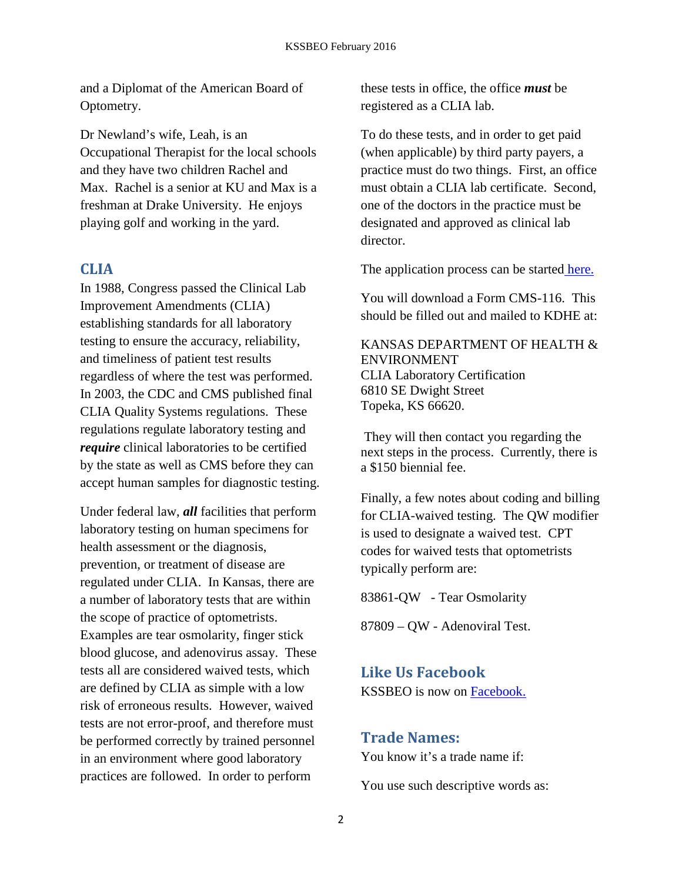and a Diplomat of the American Board of Optometry.

Dr Newland's wife, Leah, is an Occupational Therapist for the local schools and they have two children Rachel and Max. Rachel is a senior at KU and Max is a freshman at Drake University. He enjoys playing golf and working in the yard.

#### **CLIA**

In 1988, Congress passed the Clinical Lab Improvement Amendments (CLIA) establishing standards for all laboratory testing to ensure the accuracy, reliability, and timeliness of patient test results regardless of where the test was performed. In 2003, the CDC and CMS published final CLIA Quality Systems regulations. These regulations regulate laboratory testing and *require* clinical laboratories to be certified by the state as well as CMS before they can accept human samples for diagnostic testing.

Under federal law, *all* facilities that perform laboratory testing on human specimens for health assessment or the diagnosis, prevention, or treatment of disease are regulated under CLIA. In Kansas, there are a number of laboratory tests that are within the scope of practice of optometrists. Examples are tear osmolarity, finger stick blood glucose, and adenovirus assay. These tests all are considered waived tests, which are defined by CLIA as simple with a low risk of erroneous results. However, waived tests are not error-proof, and therefore must be performed correctly by trained personnel in an environment where good laboratory practices are followed. In order to perform

these tests in office, the office *must* be registered as a CLIA lab.

To do these tests, and in order to get paid (when applicable) by third party payers, a practice must do two things. First, an office must obtain a CLIA lab certificate. Second, one of the doctors in the practice must be designated and approved as clinical lab director.

The application process can be started [here.](https://www.cms.gov/Regulations-and-Guidance/Legislation/CLIA/How_to_Apply_for_a_CLIA_Certificate_International_Laboratories.html)

You will download a Form CMS-116. This should be filled out and mailed to KDHE at:

KANSAS DEPARTMENT OF HEALTH & ENVIRONMENT CLIA Laboratory Certification 6810 SE Dwight Street Topeka, KS 66620.

They will then contact you regarding the next steps in the process. Currently, there is a \$150 biennial fee.

Finally, a few notes about coding and billing for CLIA-waived testing. The QW modifier is used to designate a waived test. CPT codes for waived tests that optometrists typically perform are:

83861-QW - Tear Osmolarity

87809 – QW - Adenoviral Test.

### **Like Us Facebook**

KSSBEO is now on [Facebook.](https://www.facebook.com/KSSBEO/) 

#### **Trade Names:**

You know it's a trade name if:

You use such descriptive words as: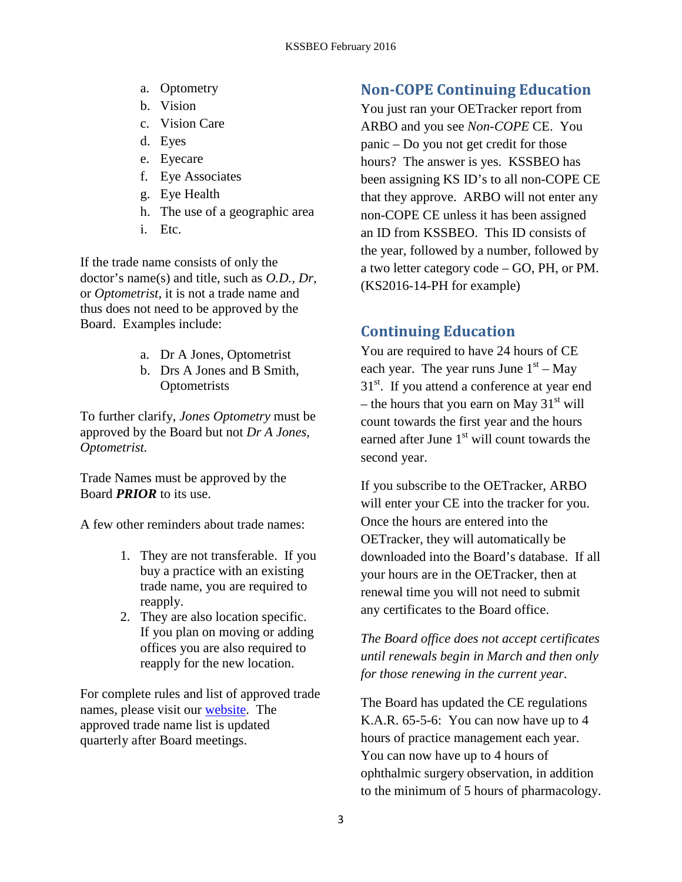- a. Optometry
- b. Vision
- c. Vision Care
- d. Eyes
- e. Eyecare
- f. Eye Associates
- g. Eye Health
- h. The use of a geographic area
- i. Etc.

If the trade name consists of only the doctor's name(s) and title, such as *O.D., Dr,*  or *Optometrist,* it is not a trade name and thus does not need to be approved by the Board. Examples include:

- a. Dr A Jones, Optometrist
- b. Drs A Jones and B Smith, **Optometrists**

To further clarify, *Jones Optometry* must be approved by the Board but not *Dr A Jones, Optometrist.* 

Trade Names must be approved by the Board *PRIOR* to its use.

A few other reminders about trade names:

- 1. They are not transferable. If you buy a practice with an existing trade name, you are required to reapply.
- 2. They are also location specific. If you plan on moving or adding offices you are also required to reapply for the new location.

For complete rules and list of approved trade names, please visit our [website.](http://www.kssbeo.ks.gov/optometrists/trade-name-approval) The approved trade name list is updated quarterly after Board meetings.

#### **Non-COPE Continuing Education**

You just ran your OETracker report from ARBO and you see *Non-COPE* CE. You panic – Do you not get credit for those hours? The answer is yes. KSSBEO has been assigning KS ID's to all non-COPE CE that they approve. ARBO will not enter any non-COPE CE unless it has been assigned an ID from KSSBEO. This ID consists of the year, followed by a number, followed by a two letter category code – GO, PH, or PM. (KS2016-14-PH for example)

# **Continuing Education**

You are required to have 24 hours of CE each year. The year runs June  $1<sup>st</sup> - May$ 31<sup>st</sup>. If you attend a conference at year end – the hours that you earn on May  $31<sup>st</sup>$  will count towards the first year and the hours earned after June  $1<sup>st</sup>$  will count towards the second year.

If you subscribe to the OETracker, ARBO will enter your CE into the tracker for you. Once the hours are entered into the OETracker, they will automatically be downloaded into the Board's database. If all your hours are in the OETracker, then at renewal time you will not need to submit any certificates to the Board office.

*The Board office does not accept certificates until renewals begin in March and then only for those renewing in the current year.* 

The Board has updated the CE regulations K.A.R. 65-5-6: You can now have up to 4 hours of practice management each year. You can now have up to 4 hours of ophthalmic surgery observation, in addition to the minimum of 5 hours of pharmacology.